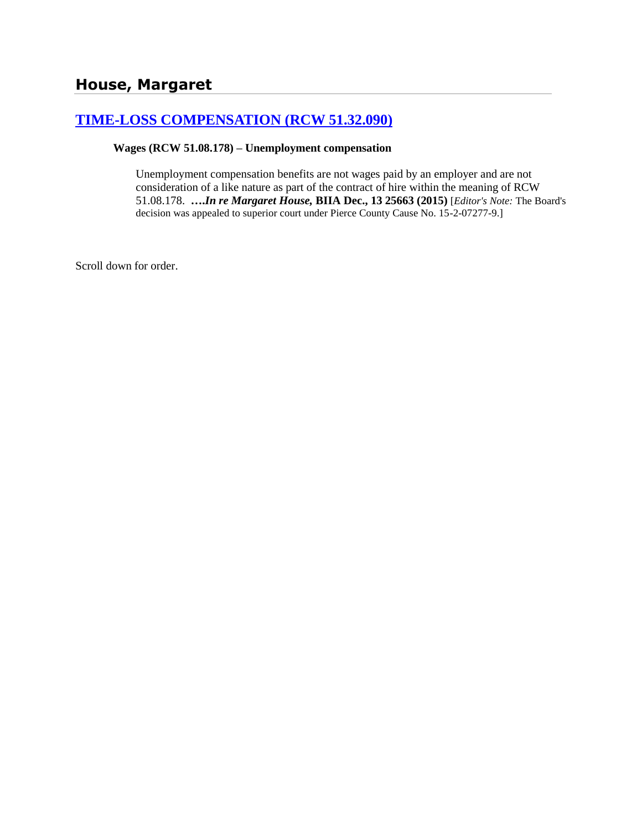# **[TIME-LOSS COMPENSATION \(RCW 51.32.090\)](http://www.biia.wa.gov/SDSubjectIndex.html#TIME_LOSS_COMPENSATION)**

#### **Wages (RCW 51.08.178) – Unemployment compensation**

Unemployment compensation benefits are not wages paid by an employer and are not consideration of a like nature as part of the contract of hire within the meaning of RCW 51.08.178. **….***In re Margaret House,* **BIIA Dec., 13 25663 (2015)** [*Editor's Note:* The Board's decision was appealed to superior court under Pierce County Cause No. 15-2-07277-9.]

Scroll down for order.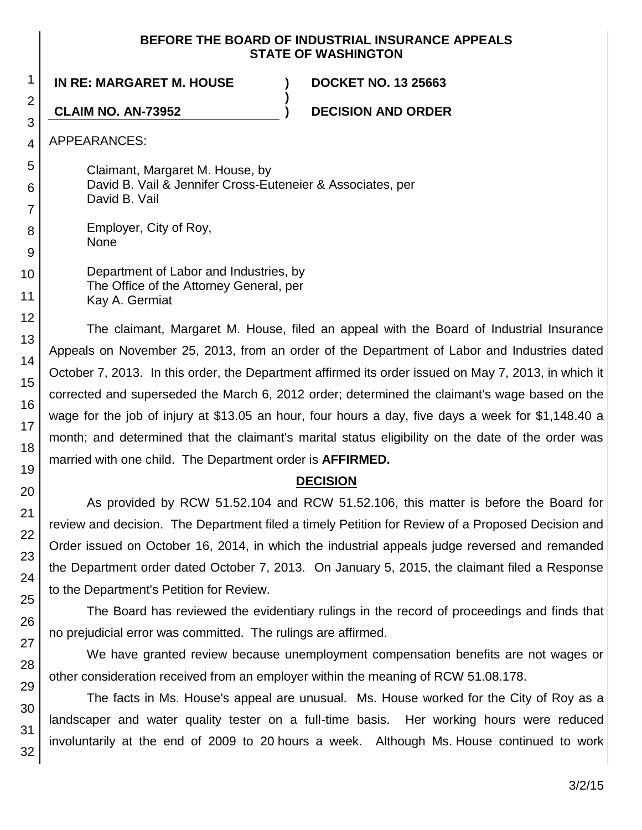#### **BEFORE THE BOARD OF INDUSTRIAL INSURANCE APPEALS STATE OF WASHINGTON**

**)**

**IN RE: MARGARET M. HOUSE ) DOCKET NO. 13 25663**

**CLAIM NO. AN-73952 ) DECISION AND ORDER**

APPEARANCES:

Claimant, Margaret M. House, by David B. Vail & Jennifer Cross-Euteneier & Associates, per David B. Vail

Employer, City of Roy, None

Department of Labor and Industries, by The Office of the Attorney General, per Kay A. Germiat

The claimant, Margaret M. House, filed an appeal with the Board of Industrial Insurance Appeals on November 25, 2013, from an order of the Department of Labor and Industries dated October 7, 2013. In this order, the Department affirmed its order issued on May 7, 2013, in which it corrected and superseded the March 6, 2012 order; determined the claimant's wage based on the wage for the job of injury at \$13.05 an hour, four hours a day, five days a week for \$1,148.40 a month; and determined that the claimant's marital status eligibility on the date of the order was married with one child. The Department order is **AFFIRMED.**

# **DECISION**

As provided by RCW 51.52.104 and RCW 51.52.106, this matter is before the Board for review and decision. The Department filed a timely Petition for Review of a Proposed Decision and Order issued on October 16, 2014, in which the industrial appeals judge reversed and remanded the Department order dated October 7, 2013. On January 5, 2015, the claimant filed a Response to the Department's Petition for Review.

The Board has reviewed the evidentiary rulings in the record of proceedings and finds that no prejudicial error was committed. The rulings are affirmed.

We have granted review because unemployment compensation benefits are not wages or other consideration received from an employer within the meaning of RCW 51.08.178.

The facts in Ms. House's appeal are unusual. Ms. House worked for the City of Roy as a landscaper and water quality tester on a full-time basis. Her working hours were reduced involuntarily at the end of 2009 to 20 hours a week. Although Ms. House continued to work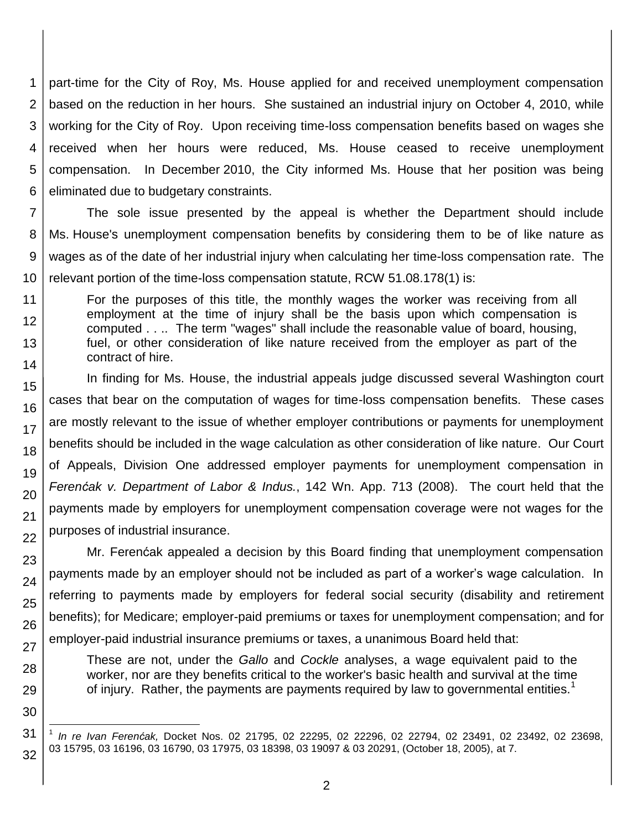1 2 3 4 5 6 part-time for the City of Roy, Ms. House applied for and received unemployment compensation based on the reduction in her hours. She sustained an industrial injury on October 4, 2010, while working for the City of Roy. Upon receiving time-loss compensation benefits based on wages she received when her hours were reduced, Ms. House ceased to receive unemployment compensation. In December 2010, the City informed Ms. House that her position was being eliminated due to budgetary constraints.

7 8 The sole issue presented by the appeal is whether the Department should include Ms. House's unemployment compensation benefits by considering them to be of like nature as wages as of the date of her industrial injury when calculating her time-loss compensation rate. The relevant portion of the time-loss compensation statute, RCW 51.08.178(1) is:

For the purposes of this title, the monthly wages the worker was receiving from all employment at the time of injury shall be the basis upon which compensation is computed . . .. The term "wages" shall include the reasonable value of board, housing, fuel, or other consideration of like nature received from the employer as part of the contract of hire.

In finding for Ms. House, the industrial appeals judge discussed several Washington court cases that bear on the computation of wages for time-loss compensation benefits. These cases are mostly relevant to the issue of whether employer contributions or payments for unemployment benefits should be included in the wage calculation as other consideration of like nature. Our Court of Appeals, Division One addressed employer payments for unemployment compensation in *Ferenćak v. Department of Labor & Indus.*, 142 Wn. App. 713 (2008). The court held that the payments made by employers for unemployment compensation coverage were not wages for the purposes of industrial insurance.

Mr. Ferenćak appealed a decision by this Board finding that unemployment compensation payments made by an employer should not be included as part of a worker's wage calculation. In referring to payments made by employers for federal social security (disability and retirement benefits); for Medicare; employer-paid premiums or taxes for unemployment compensation; and for employer-paid industrial insurance premiums or taxes, a unanimous Board held that:

These are not, under the *Gallo* and *Cockle* analyses, a wage equivalent paid to the worker, nor are they benefits critical to the worker's basic health and survival at the time of injury. Rather, the payments are payments required by law to governmental entities.<sup>1</sup>

l 1 *In re Ivan Ferenćak,* Docket Nos. 02 21795, 02 22295, 02 22296, 02 22794, 02 23491, 02 23492, 02 23698, 03 15795, 03 16196, 03 16790, 03 17975, 03 18398, 03 19097 & 03 20291, (October 18, 2005), at 7.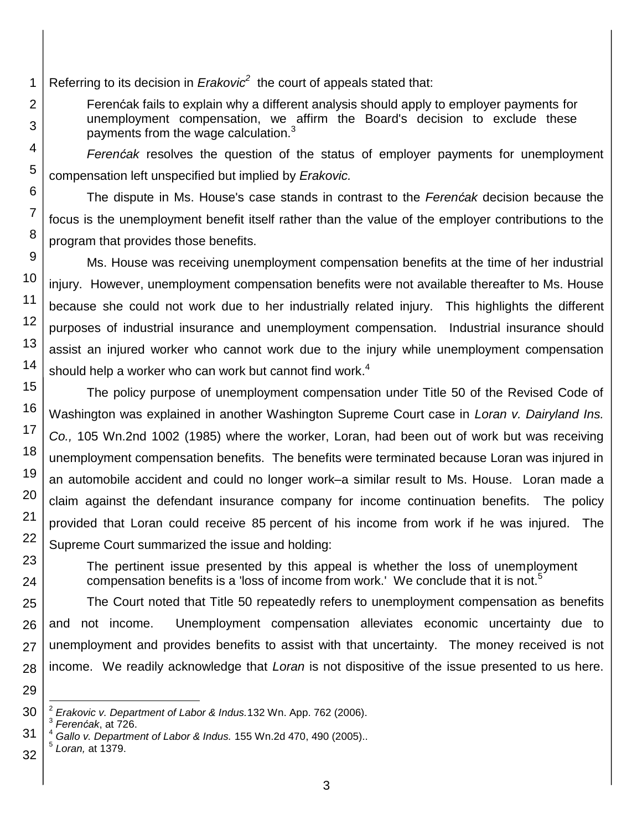Referring to its decision in *Erakovic<sup>2</sup>* the court of appeals stated that:

Ferenćak fails to explain why a different analysis should apply to employer payments for unemployment compensation, we affirm the Board's decision to exclude these payments from the wage calculation.<sup>3</sup>

*Ferenćak* resolves the question of the status of employer payments for unemployment compensation left unspecified but implied by *Erakovic.*

The dispute in Ms. House's case stands in contrast to the *Ferenćak* decision because the focus is the unemployment benefit itself rather than the value of the employer contributions to the program that provides those benefits.

Ms. House was receiving unemployment compensation benefits at the time of her industrial injury. However, unemployment compensation benefits were not available thereafter to Ms. House because she could not work due to her industrially related injury. This highlights the different purposes of industrial insurance and unemployment compensation. Industrial insurance should assist an injured worker who cannot work due to the injury while unemployment compensation should help a worker who can work but cannot find work. $^4$ 

The policy purpose of unemployment compensation under Title 50 of the Revised Code of Washington was explained in another Washington Supreme Court case in *Loran v. Dairyland Ins. Co.,* 105 Wn.2nd 1002 (1985) where the worker, Loran, had been out of work but was receiving unemployment compensation benefits. The benefits were terminated because Loran was injured in an automobile accident and could no longer work–a similar result to Ms. House. Loran made a claim against the defendant insurance company for income continuation benefits. The policy provided that Loran could receive 85 percent of his income from work if he was injured. The Supreme Court summarized the issue and holding:

The pertinent issue presented by this appeal is whether the loss of unemployment compensation benefits is a 'loss of income from work.' We conclude that it is not.<sup>5</sup>

25 26 27 28 The Court noted that Title 50 repeatedly refers to unemployment compensation as benefits and not income. Unemployment compensation alleviates economic uncertainty due to unemployment and provides benefits to assist with that uncertainty. The money received is not income. We readily acknowledge that *Loran* is not dispositive of the issue presented to us here.

1

2

3

4

5

6

7

8

9

10

11 12

13

14

15

16

17

18

19

20

21 22

23

24

3 *Ferenćak*, at 726.

32

<sup>29</sup> l

<sup>30</sup> 2 *Erakovic v. Department of Labor & Indus.*132 Wn. App. 762 (2006).

<sup>31</sup> <sup>4</sup> *Gallo v. Department of Labor & Indus.* 155 Wn.2d 470, 490 (2005).. 5 *Loran,* at 1379.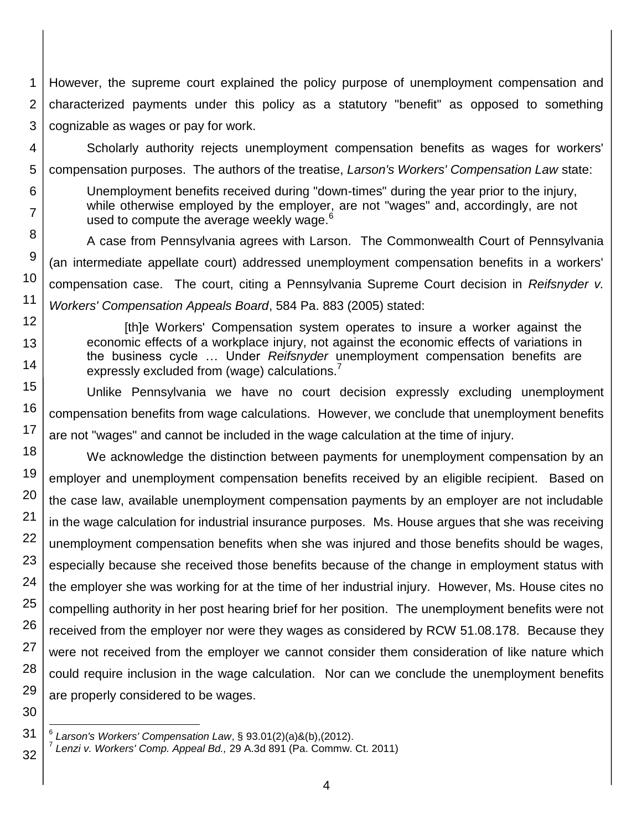1 2 3 However, the supreme court explained the policy purpose of unemployment compensation and characterized payments under this policy as a statutory "benefit" as opposed to something cognizable as wages or pay for work.

4 5 Scholarly authority rejects unemployment compensation benefits as wages for workers' compensation purposes. The authors of the treatise, *Larson's Workers' Compensation Law* state:

6 7

8

9

10

11 12

13

14

Unemployment benefits received during "down-times" during the year prior to the injury, while otherwise employed by the employer, are not "wages" and, accordingly, are not used to compute the average weekly wage. $6$ 

A case from Pennsylvania agrees with Larson. The Commonwealth Court of Pennsylvania (an intermediate appellate court) addressed unemployment compensation benefits in a workers' compensation case. The court, citing a Pennsylvania Supreme Court decision in *Reifsnyder v. Workers' Compensation Appeals Board*, 584 Pa. 883 (2005) stated:

[th]e Workers' Compensation system operates to insure a worker against the economic effects of a workplace injury, not against the economic effects of variations in the business cycle … Under *Reifsnyder* unemployment compensation benefits are expressly excluded from (wage) calculations.<sup>7</sup>

15 16 17 Unlike Pennsylvania we have no court decision expressly excluding unemployment compensation benefits from wage calculations. However, we conclude that unemployment benefits are not "wages" and cannot be included in the wage calculation at the time of injury.

18 19 20 21 22 23 24 25 26 27 28 29 We acknowledge the distinction between payments for unemployment compensation by an employer and unemployment compensation benefits received by an eligible recipient. Based on the case law, available unemployment compensation payments by an employer are not includable in the wage calculation for industrial insurance purposes. Ms. House argues that she was receiving unemployment compensation benefits when she was injured and those benefits should be wages, especially because she received those benefits because of the change in employment status with the employer she was working for at the time of her industrial injury. However, Ms. House cites no compelling authority in her post hearing brief for her position. The unemployment benefits were not received from the employer nor were they wages as considered by RCW 51.08.178. Because they were not received from the employer we cannot consider them consideration of like nature which could require inclusion in the wage calculation. Nor can we conclude the unemployment benefits are properly considered to be wages.

30 31

l 6 *Larson's Workers' Compensation Law*, § 93.01(2)(a)&(b),(2012).

<sup>32</sup> 7 *Lenzi v. Workers' Comp. Appeal Bd.,* 29 A.3d 891 (Pa. Commw. Ct. 2011)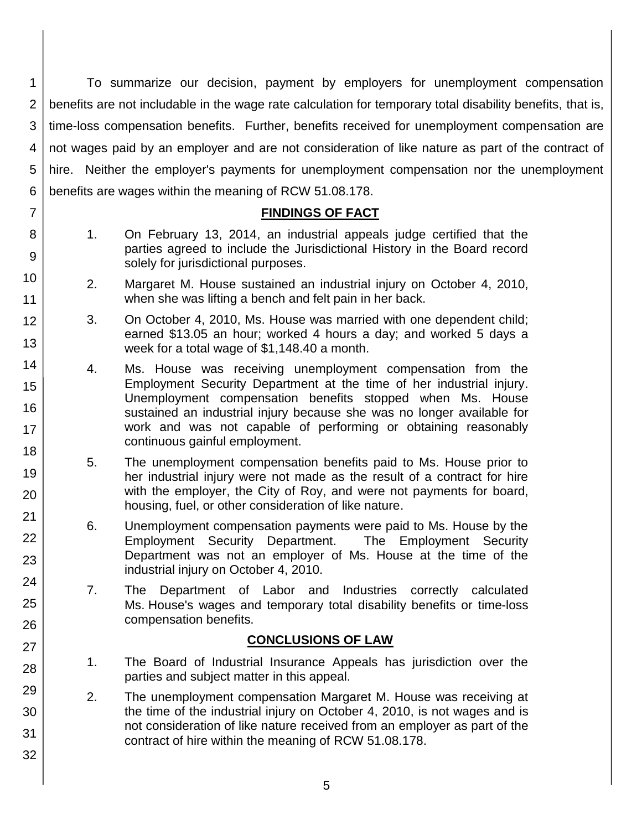1 2 3 4 5 6 To summarize our decision, payment by employers for unemployment compensation benefits are not includable in the wage rate calculation for temporary total disability benefits, that is, time-loss compensation benefits. Further, benefits received for unemployment compensation are not wages paid by an employer and are not consideration of like nature as part of the contract of hire. Neither the employer's payments for unemployment compensation nor the unemployment benefits are wages within the meaning of RCW 51.08.178.

## **FINDINGS OF FACT**

1. On February 13, 2014, an industrial appeals judge certified that the parties agreed to include the Jurisdictional History in the Board record solely for jurisdictional purposes.

7

8

9

10

11 12

13

14

15

16

17 18

19

20

21 22

23

24

25

26

27

28

29

30

31

32

- 2. Margaret M. House sustained an industrial injury on October 4, 2010, when she was lifting a bench and felt pain in her back.
- 3. On October 4, 2010, Ms. House was married with one dependent child; earned \$13.05 an hour; worked 4 hours a day; and worked 5 days a week for a total wage of \$1,148.40 a month.
- 4. Ms. House was receiving unemployment compensation from the Employment Security Department at the time of her industrial injury. Unemployment compensation benefits stopped when Ms. House sustained an industrial injury because she was no longer available for work and was not capable of performing or obtaining reasonably continuous gainful employment.
- 5. The unemployment compensation benefits paid to Ms. House prior to her industrial injury were not made as the result of a contract for hire with the employer, the City of Roy, and were not payments for board, housing, fuel, or other consideration of like nature.
- 6. Unemployment compensation payments were paid to Ms. House by the Employment Security Department. The Employment Security Department was not an employer of Ms. House at the time of the industrial injury on October 4, 2010.
- 7. The Department of Labor and Industries correctly calculated Ms. House's wages and temporary total disability benefits or time-loss compensation benefits.

# **CONCLUSIONS OF LAW**

- 1. The Board of Industrial Insurance Appeals has jurisdiction over the parties and subject matter in this appeal.
- 2. The unemployment compensation Margaret M. House was receiving at the time of the industrial injury on October 4, 2010, is not wages and is not consideration of like nature received from an employer as part of the contract of hire within the meaning of RCW 51.08.178.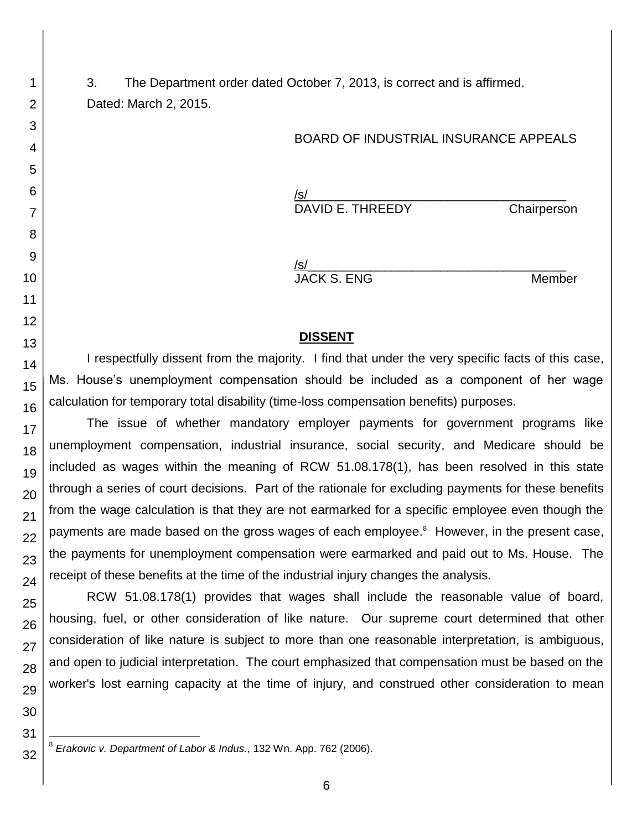3. The Department order dated October 7, 2013, is correct and is affirmed. Dated: March 2, 2015.

### BOARD OF INDUSTRIAL INSURANCE APPEALS

/s/ DAVID E. THREEDY Chairperson

/s/ JACK S. ENG Member

#### **DISSENT**

I respectfully dissent from the majority. I find that under the very specific facts of this case, Ms. House's unemployment compensation should be included as a component of her wage calculation for temporary total disability (time-loss compensation benefits) purposes.

The issue of whether mandatory employer payments for government programs like unemployment compensation, industrial insurance, social security, and Medicare should be included as wages within the meaning of RCW 51.08.178(1), has been resolved in this state through a series of court decisions. Part of the rationale for excluding payments for these benefits from the wage calculation is that they are not earmarked for a specific employee even though the payments are made based on the gross wages of each employee.<sup>8</sup> However, in the present case, the payments for unemployment compensation were earmarked and paid out to Ms. House. The receipt of these benefits at the time of the industrial injury changes the analysis.

RCW 51.08.178(1) provides that wages shall include the reasonable value of board, housing, fuel, or other consideration of like nature. Our supreme court determined that other consideration of like nature is subject to more than one reasonable interpretation, is ambiguous, and open to judicial interpretation. The court emphasized that compensation must be based on the worker's lost earning capacity at the time of injury, and construed other consideration to mean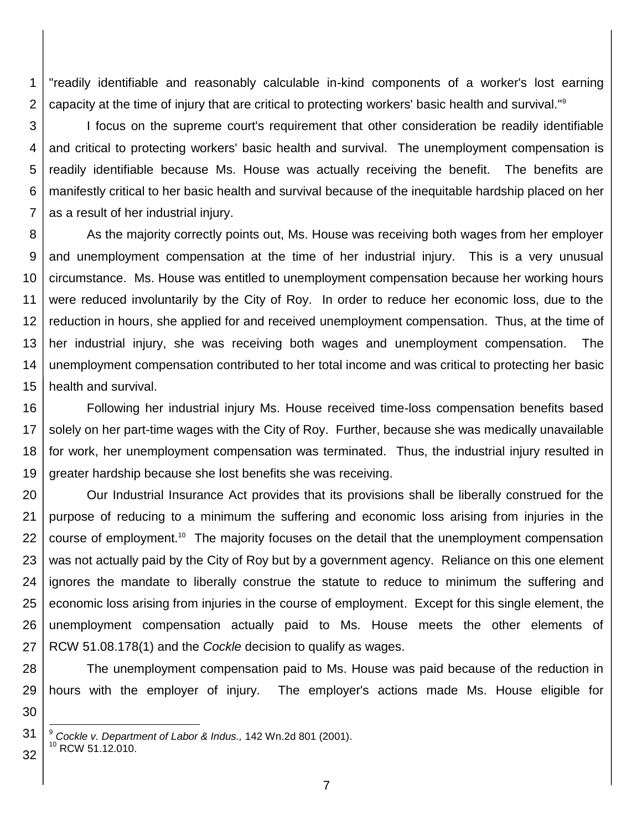1 2 "readily identifiable and reasonably calculable in-kind components of a worker's lost earning capacity at the time of injury that are critical to protecting workers' basic health and survival."<sup>9</sup>

3 4 5 6 7 I focus on the supreme court's requirement that other consideration be readily identifiable and critical to protecting workers' basic health and survival. The unemployment compensation is readily identifiable because Ms. House was actually receiving the benefit. The benefits are manifestly critical to her basic health and survival because of the inequitable hardship placed on her as a result of her industrial injury.

8 9 10 11 12 13 14 15 As the majority correctly points out, Ms. House was receiving both wages from her employer and unemployment compensation at the time of her industrial injury. This is a very unusual circumstance. Ms. House was entitled to unemployment compensation because her working hours were reduced involuntarily by the City of Roy. In order to reduce her economic loss, due to the reduction in hours, she applied for and received unemployment compensation. Thus, at the time of her industrial injury, she was receiving both wages and unemployment compensation. The unemployment compensation contributed to her total income and was critical to protecting her basic health and survival.

16 17 18 19 Following her industrial injury Ms. House received time-loss compensation benefits based solely on her part-time wages with the City of Roy. Further, because she was medically unavailable for work, her unemployment compensation was terminated. Thus, the industrial injury resulted in greater hardship because she lost benefits she was receiving.

20 21 22 23 24 25 26 27 Our Industrial Insurance Act provides that its provisions shall be liberally construed for the purpose of reducing to a minimum the suffering and economic loss arising from injuries in the course of employment.<sup>10</sup> The majority focuses on the detail that the unemployment compensation was not actually paid by the City of Roy but by a government agency. Reliance on this one element ignores the mandate to liberally construe the statute to reduce to minimum the suffering and economic loss arising from injuries in the course of employment. Except for this single element, the unemployment compensation actually paid to Ms. House meets the other elements of RCW 51.08.178(1) and the *Cockle* decision to qualify as wages.

28 29 The unemployment compensation paid to Ms. House was paid because of the reduction in hours with the employer of injury. The employer's actions made Ms. House eligible for

30 31

l

32

<sup>9</sup> *Cockle v. Department of Labor & Indus.,* 142 Wn.2d 801 (2001). <sup>10</sup> RCW 51.12.010.